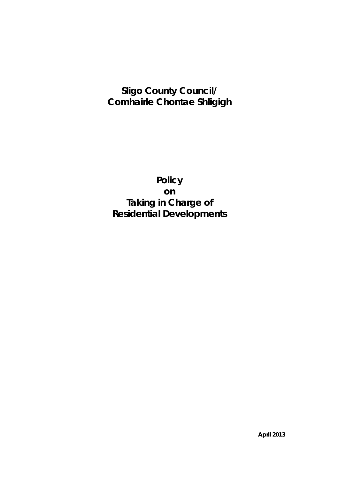# **Sligo County Council/ Comhairle Chontae Shligigh**

**Policy on Taking in Charge of Residential Developments**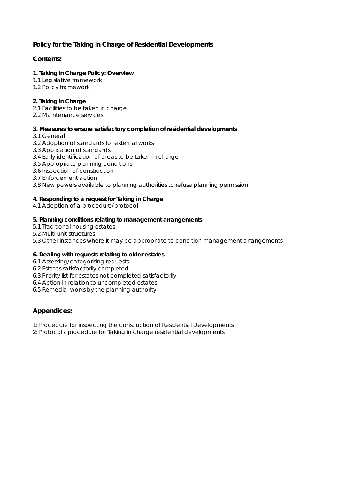## **Policy for the Taking in Charge of Residential Developments**

## **Contents:**

## **1. Taking in Charge Policy: Overview**

- 1.1 Legislative framework
- 1.2 Policy framework

## **2. Taking in Charge**

- 2.1 Facilities to be taken in charge
- 2.2 Maintenance services

#### **3. Measures to ensure satisfactory completion of residential developments**

- 3.1 General
- 3.2 Adoption of standards for external works
- 3.3 Application of standards
- 3.4 Early identification of areas to be taken in charge
- 3.5 Appropriate planning conditions
- 3.6 Inspection of construction
- 3.7 Enforcement action
- 3.8 New powers available to planning authorities to refuse planning permission

## **4. Responding to a request for Taking in Charge**

4.1 Adoption of a procedure/protocol

#### **5. Planning conditions relating to management arrangements**

- 5.1 Traditional housing estates
- 5.2 Multi-unit structures
- 5.3 Other instances where it may be appropriate to condition management arrangements

## **6. Dealing with requests relating to older estates**

- 6.1 Assessing/categorising requests
- 6.2 Estates satisfactorily completed
- 6.3 Priority list for estates not completed satisfactorily
- 6.4 Action in relation to uncompleted estates
- 6.5 Remedial works by the planning authority

## **Appendices:**

- 1: Procedure for inspecting the construction of Residential Developments
- 2: Protocol / procedure for Taking in charge residential developments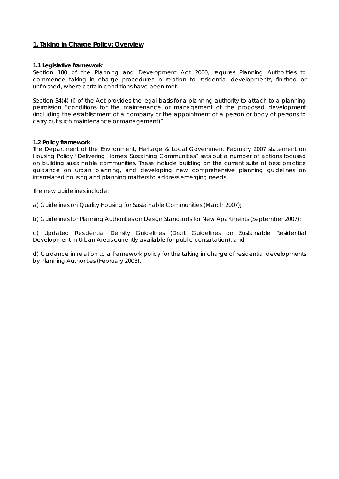#### **1. Taking in Charge Policy: Overview**

#### **1.1 Legislative framework**

Section 180 of the Planning and Development Act 2000, requires Planning Authorities to commence taking in charge procedures in relation to residential developments, finished or unfinished, where certain conditions have been met.

Section 34(4) (i) of the Act provides the legal basis for a planning authority to attach to a planning permission "conditions for the maintenance or management of the proposed development (including the establishment of a company or the appointment of a person or body of persons to carry out such maintenance or management)".

#### **1.2 Policy framework**

The Department of the Environment, Heritage & Local Government February 2007 statement on Housing Policy "Delivering Homes, Sustaining Communities" sets out a number of actions focused on building sustainable communities. These include building on the current suite of best practice guidance on urban planning, and developing new comprehensive planning guidelines on interrelated housing and planning matters to address emerging needs.

The new guidelines include:

a) Guidelines on Quality Housing for Sustainable Communities (March 2007);

b) Guidelines for Planning Authorities on Design Standards for New Apartments (September 2007);

c) Updated Residential Density Guidelines (Draft Guidelines on Sustainable Residential Development in Urban Areas currently available for public consultation); and

d) Guidance in relation to a framework policy for the taking in charge of residential developments by Planning Authorities (February 2008).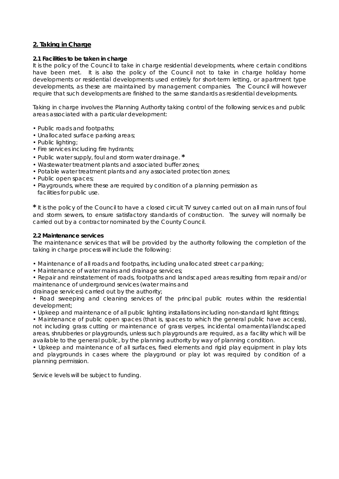## **2. Taking in Charge**

#### **2.1 Facilities to be taken in charge**

It is the policy of the Council to take in charge residential developments, where certain conditions have been met. It is also the policy of the Council not to take in charge holiday home developments or residential developments used entirely for short-term letting, or apartment type developments, as these are maintained by management companies. The Council will however require that such developments are finished to the same standards as residential developments.

Taking in charge involves the Planning Authority taking control of the following services and public areas associated with a particular development:

- Public roads and footpaths;
- Unallocated surface parking areas;
- Public lighting;
- Fire services including fire hydrants;
- Public water supply, foul and storm water drainage. **\***
- Wastewater treatment plants and associated buffer zones;
- Potable water treatment plants and any associated protection zones;
- Public open spaces;
- Playgrounds, where these are required by condition of a planning permission as facilities for public use.

**\*** It is the policy of the Council to have a closed circuit TV survey carried out on all main runs of foul and storm sewers, to ensure satisfactory standards of construction. The survey will normally be carried out by a contractor nominated by the County Council.

#### **2.2 Maintenance services**

The maintenance services that will be provided by the authority following the completion of the taking in charge process will include the following:

- Maintenance of all roads and footpaths, including unallocated street car parking;
- Maintenance of water mains and drainage services;

• Repair and reinstatement of roads, footpaths and landscaped areas resulting from repair and/or maintenance of underground services (water mains and

drainage services) carried out by the authority;

• Road sweeping and cleaning services of the principal public routes within the residential development;

• Upkeep and maintenance of all public lighting installations including non-standard light fittings;

• Maintenance of public open spaces (that is, spaces to which the general public have access), not including grass cutting or maintenance of grass verges, incidental ornamental/landscaped areas, shrubberies or playgrounds, unless such playgrounds are required, as a facility which will be available to the general public, by the planning authority by way of planning condition.

• Upkeep and maintenance of all surfaces, fixed elements and rigid play equipment in play lots and playgrounds in cases where the playground or play lot was required by condition of a planning permission.

Service levels will be subject to funding.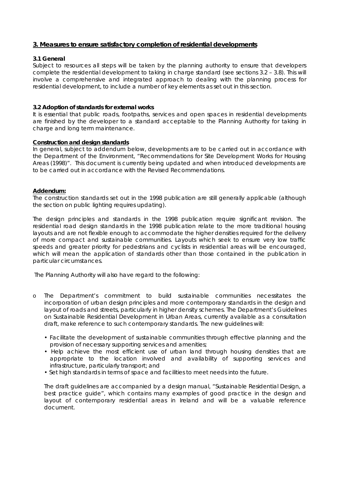### **3. Measures to ensure satisfactory completion of residential developments**

#### **3.1 General**

Subject to resources all steps will be taken by the planning authority to ensure that developers complete the residential development to taking in charge standard (see sections 3.2 – 3.8). This will involve a comprehensive and integrated approach to dealing with the planning process for residential development, to include a number of key elements as set out in this section.

#### **3.2 Adoption of standards for external works**

It is essential that public roads, footpaths, services and open spaces in residential developments are finished by the developer to a standard acceptable to the Planning Authority for taking in charge and long term maintenance.

#### **Construction and design standards**

In general, subject to addendum below, developments are to be carried out in accordance with the Department of the Environment, "Recommendations for Site Development Works for Housing Areas (1998)". This document is currently being updated and when introduced developments are to be carried out in accordance with the Revised Recommendations.

#### *Addendum:*

*The construction standards set out in the 1998 publication are still generally applicable (although the section on public lighting requires updating).* 

*The design principles and standards in the 1998 publication require significant revision. The*  residential road design standards in the 1998 publication relate to the more traditional housing *layouts and are not flexible enough to accommodate the higher densities required for the delivery of more compact and sustainable communities. Layouts which seek to ensure very low traffic speeds and greater priority for pedestrians and cyclists in residential areas will be encouraged,*  which will mean the application of standards other than those contained in the publication in *particular circumstances.* 

 *The Planning Authority will also have regard to the following:* 

- o *The Department's commitment to build sustainable communities necessitates the incorporation of urban design principles and more contemporary standards in the design and layout of roads and streets, particularly in higher density schemes. The Department's Guidelines on Sustainable Residential Development in Urban Areas, currently available as a consultation draft, make reference to such contemporary standards. The new guidelines will:* 
	- *Facilitate the development of sustainable communities through effective planning and the provision of necessary supporting services and amenities;*
	- Help achieve the most efficient use of urban land through housing densities that are *appropriate to the location involved and availability of supporting services and infrastructure, particularly transport; and*
	- *Set high standards in terms of space and facilities to meet needs into the future.*

*The draft guidelines are accompanied by a design manual, "Sustainable Residential Design, a*  best practice guide", which contains many examples of good practice in the design and layout of contemporary residential areas in Ireland and will be a valuable reference *document.*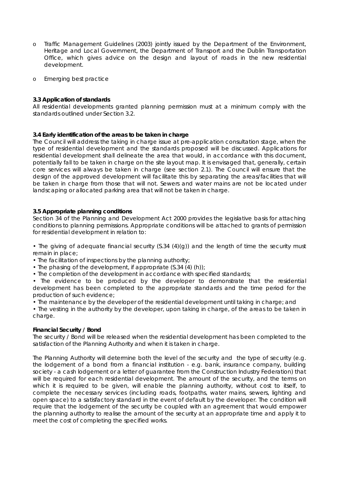- o *Traffic Management Guidelines (2003) jointly issued by the Department of the Environment, Heritage and Local Government, the Department of Transport and the Dublin Transportation Office, which gives advice on the design and layout of roads in the new residential development.*
- o *Emerging best practice*

#### **3.3 Application of standards**

All residential developments granted planning permission must at a minimum comply with the standards outlined under Section 3.2.

## **3.4 Early identification of the areas to be taken in charge**

The Council will address the taking in charge issue at pre-application consultation stage, when the type of residential development and the standards proposed will be discussed. Applications for residential development shall delineate the area that would, in accordance with this document, potentially fall to be taken in charge on the site layout map. It is envisaged that, generally, certain core services will always be taken in charge (see section 2.1). The Council will ensure that the design of the approved development will facilitate this by separating the areas/facilities that will be taken in charge from those that will not. Sewers and water mains are not be located under landscaping or allocated parking area that will not be taken in charge.

#### **3.5 Appropriate planning conditions**

Section 34 of the Planning and Development Act 2000 provides the legislative basis for attaching conditions to planning permissions. Appropriate conditions will be attached to grants of permission for residential development in relation to:

• The giving of adequate financial security (S.34 (4)(g)) and the length of time the security must remain in place;

- The facilitation of inspections by the planning authority;
- The phasing of the development, if appropriate (S.34 (4) (h));
- The completion of the development in accordance with specified standards;

• The evidence to be produced by the developer to demonstrate that the residential development has been completed to the appropriate standards and the time period for the production of such evidence;

• The maintenance by the developer of the residential development until taking in charge; and

• The vesting in the authority by the developer, upon taking in charge, of the areas to be taken in charge.

#### **Financial Security / Bond**

The security / Bond will be released when the residential development has been completed to the satisfaction of the Planning Authority and when it is taken in charge.

The Planning Authority will determine both the level of the security and the type of security (e.g. the lodgement of a bond from a financial institution - e.g. bank, insurance company, building society - a cash lodgement or a letter of guarantee from the Construction Industry Federation) that will be required for each residential development. The amount of the security, and the terms on which it is required to be given, will enable the planning authority, without cost to itself, to complete the necessary services (including roads, footpaths, water mains, sewers, lighting and open space) to a satisfactory standard in the event of default by the developer. The condition will require that the lodgement of the security be coupled with an agreement that would empower the planning authority to realise the amount of the security at an appropriate time and apply it to meet the cost of completing the specified works.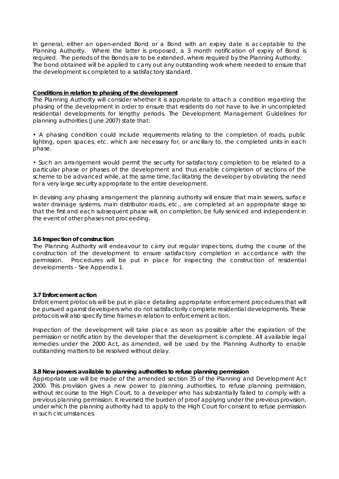In general, either an open-ended Bond or a Bond with an expiry date is acceptable to the Planning Authority. Where the latter is proposed, a 3 month notification of expiry of Bond is required. The periods of the Bonds are to be extended, where required by the Planning Authority. The bond obtained will be applied to carry out any outstanding work where needed to ensure that the development is completed to a satisfactory standard.

#### **Conditions in relation to phasing of the development**

The Planning Authority will consider whether it is appropriate to attach a condition regarding the phasing of the development in order to ensure that residents do not have to live in uncompleted residential developments for lengthy periods. The Development Management Guidelines for planning authorities (June 2007) state that:

• A phasing condition could include requirements relating to the completion of roads, public lighting, open spaces, etc. which are necessary for, or ancillary to, the completed units in each phase.

• Such an arrangement would permit the security for satisfactory completion to be related to a particular phase or phases of the development and thus enable completion of sections of the scheme to be advanced while, at the same time, facilitating the developer by obviating the need for a very large security appropriate to the entire development.

In devising any phasing arrangement the planning authority will ensure that main sewers, surface water drainage systems, main distributor roads, etc., are completed at an appropriate stage so that the first and each subsequent phase will, on completion, be fully serviced and independent in the event of other phases not proceeding.

#### **3.6 Inspection of construction**

The Planning Authority will endeavour to carry out regular inspections, during the course of the construction of the development to ensure satisfactory completion in accordance with the permission. Procedures will be put in place for inspecting the construction of residential developments – See Appendix 1.

#### **3.7 Enforcement action**

Enforcement protocols will be put in place detailing appropriate enforcement procedures that will be pursued against developers who do not satisfactorily complete residential developments. These protocols will also specify time frames in relation to enforcement action.

Inspection of the development will take place as soon as possible after the expiration of the permission or notification by the developer that the development is complete. All available legal remedies under the 2000 Act, as amended, will be used by the Planning Authority to enable outstanding matters to be resolved without delay.

#### **3.8 New powers available to planning authorities to refuse planning permission**

Appropriate use will be made of the amended section 35 of the Planning and Development Act 2000. This provision gives a new power to planning authorities, to refuse planning permission, without recourse to the High Court, to a developer who has substantially failed to comply with a previous planning permission. It reversed the burden of proof applying under the previous provision, under which the planning authority had to apply to the High Court for consent to refuse permission in such circumstances.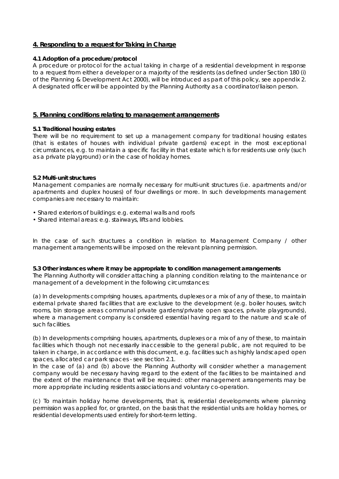## **4. Responding to a request for Taking in Charge**

#### **4.1 Adoption of a procedure/protocol**

A procedure or protocol for the actual taking in charge of a residential development in response to a request from either a developer or a majority of the residents (as defined under Section 180 (i) of the Planning & Development Act 2000), will be introduced as part of this policy, see appendix 2. A designated officer will be appointed by the Planning Authority as a coordinator/liaison person.

#### **5. Planning conditions relating to management arrangements**

#### **5.1 Traditional housing estates**

There will be no requirement to set up a management company for traditional housing estates (that is estates of houses with individual private gardens) except in the most exceptional circumstances, e.g. to maintain a specific facility in that estate which is for residents use only (such as a private playground) or in the case of holiday homes.

#### **5.2 Multi-unit structures**

Management companies are normally necessary for multi-unit structures (i.e. apartments and/or apartments and duplex houses) of four dwellings or more. In such developments management companies are necessary to maintain:

- Shared exteriors of buildings: e.g. external walls and roofs
- Shared internal areas: e.g. stairways, lifts and lobbies.

In the case of such structures a condition in relation to Management Company / other management arrangements will be imposed on the relevant planning permission.

**5.3 Other instances where it may be appropriate to condition management arrangements** The Planning Authority will consider attaching a planning condition relating to the maintenance or management of a development in the following circumstances:

(a) In developments comprising houses, apartments, duplexes or a mix of any of these, to maintain external private shared facilities that are exclusive to the development (e.g. boiler houses, switch rooms, bin storage areas communal private gardens/private open spaces, private playgrounds), where a management company is considered essential having regard to the nature and scale of such facilities.

(b) In developments comprising houses, apartments, duplexes or a mix of any of these, to maintain facilities which though not necessarily inaccessible to the general public, are not required to be taken in charge, in accordance with this document, e.g. facilities such as highly landscaped open spaces, allocated car park spaces - see section 2.1.

In the case of (a) and (b) above the Planning Authority will consider whether a management company would be necessary having regard to the extent of the facilities to be maintained and the extent of the maintenance that will be required: other management arrangements may be more appropriate including residents associations and voluntary co-operation.

(c) To maintain holiday home developments, that is, residential developments where planning permission was applied for, or granted, on the basis that the residential units are holiday homes, or residential developments used entirely for short-term letting.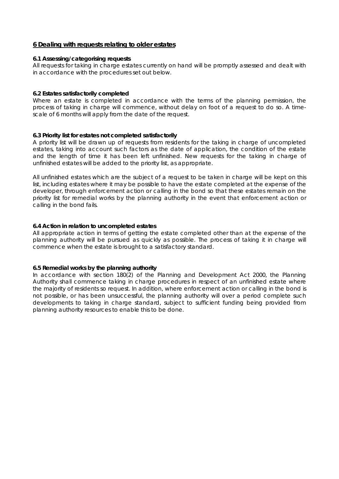#### **6 Dealing with requests relating to older estates**

#### **6.1 Assessing/categorising requests**

All requests for taking in charge estates currently on hand will be promptly assessed and dealt with in accordance with the procedures set out below.

#### **6.2 Estates satisfactorily completed**

Where an estate is completed in accordance with the terms of the planning permission, the process of taking in charge will commence, without delay on foot of a request to do so. A timescale of 6 months will apply from the date of the request.

#### **6.3 Priority list for estates not completed satisfactorily**

A priority list will be drawn up of requests from residents for the taking in charge of uncompleted estates, taking into account such factors as the date of application, the condition of the estate and the length of time it has been left unfinished. New requests for the taking in charge of unfinished estates will be added to the priority list, as appropriate.

All unfinished estates which are the subject of a request to be taken in charge will be kept on this list, including estates where it may be possible to have the estate completed at the expense of the developer, through enforcement action or calling in the bond so that these estates remain on the priority list for remedial works by the planning authority in the event that enforcement action or calling in the bond fails.

#### **6.4 Action in relation to uncompleted estates**

All appropriate action in terms of getting the estate completed other than at the expense of the planning authority will be pursued as quickly as possible. The process of taking it in charge will commence when the estate is brought to a satisfactory standard.

#### **6.5 Remedial works by the planning authority**

In accordance with section 180(2) of the Planning and Development Act 2000, the Planning Authority shall commence taking in charge procedures in respect of an unfinished estate where the majority of residents so request. In addition, where enforcement action or calling in the bond is not possible, or has been unsuccessful, the planning authority will over a period complete such developments to taking in charge standard, subject to sufficient funding being provided from planning authority resources to enable this to be done.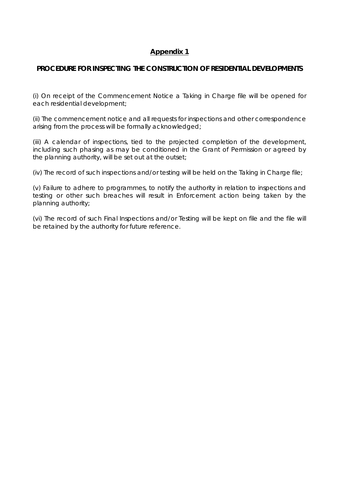## **Appendix 1**

## **PROCEDURE FOR INSPECTING THE CONSTRUCTION OF RESIDENTIAL DEVELOPMENTS**

(i) On receipt of the Commencement Notice a Taking in Charge file will be opened for each residential development;

(ii) The commencement notice and all requests for inspections and other correspondence arising from the process will be formally acknowledged;

(iii) A calendar of inspections, tied to the projected completion of the development, including such phasing as may be conditioned in the Grant of Permission or agreed by the planning authority, will be set out at the outset;

(iv) The record of such inspections and/or testing will be held on the Taking in Charge file;

(v) Failure to adhere to programmes, to notify the authority in relation to inspections and testing or other such breaches will result in Enforcement action being taken by the planning authority;

(vi) The record of such Final Inspections and/or Testing will be kept on file and the file will be retained by the authority for future reference.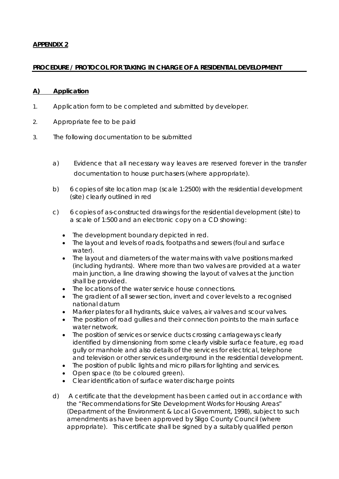## **APPENDIX 2**

## **PROCEDURE / PROTOCOL FOR TAKING IN CHARGE OF A RESIDENTIAL DEVELOPMENT**

## **A) Application**

- 1. Application form to be completed and submitted by developer.
- 2. Appropriate fee to be paid
- 3. The following documentation to be submitted
	- a) Evidence that all necessary way leaves are reserved forever in the transfer documentation to house purchasers (where appropriate).
	- b) 6 copies of site location map (scale 1:2500) with the residential development (site) clearly outlined in red
	- c) 6 copies of as-constructed drawings for the residential development (site) to a scale of 1:500 and an electronic copy on a CD showing:
		- The development boundary depicted in red.
		- The layout and levels of roads, footpaths and sewers (foul and surface water).
		- The layout and diameters of the water mains with valve positions marked (including hydrants). Where more than two valves are provided at a water main junction, a line drawing showing the layout of valves at the junction shall be provided.
		- The locations of the water service house connections.
		- The gradient of all sewer section, invert and cover levels to a recognised national datum
		- Marker plates for all hydrants, sluice valves, air valves and scour valves.
		- The position of road gullies and their connection points to the main surface water network.
		- The position of services or service ducts crossing carriageways clearly identified by dimensioning from some clearly visible surface feature, eg road gully or manhole and also details of the services for electrical, telephone and television or other services underground in the residential development.
		- The position of public lights and micro pillars for lighting and services.
		- Open space (to be coloured green).
		- Clear identification of surface water discharge points
	- d) A certificate that the development has been carried out in accordance with the "Recommendations for Site Development Works for Housing Areas" (Department of the Environment & Local Government, 1998), subject to such amendments as have been approved by Sligo County Council (where appropriate). This certificate shall be signed by a suitably qualified person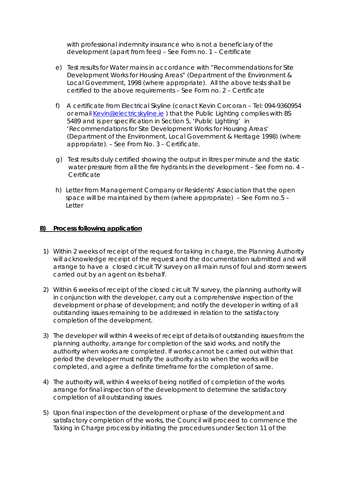with professional indemnity insurance who is not a beneficiary of the development (apart from fees) – See Form no. 1 – Certificate

- e) Test results for Water mains in accordance with "Recommendations for Site Development Works for Housing Areas" (Department of the Environment & Local Government, 1998 (where appropriate). All the above tests shall be certified to the above requirements – See Form no. 2 – Certificate
- f) A certificate from Electrical Skyline (conact Kevin Corcoran Tel: 094-9360954 or email Kevin@electricskyline.ie ) that the Public Lighting complies with BS 5489 and is per specification in Section 5, 'Public Lighting' in 'Recommendations for Site Development Works for Housing Areas' (Department of the Environment, Local Government & Heritage 1998) (where appropriate). – See From No. 3 – Certificate.
- g) Test results duly certified showing the output in litres per minute and the static water pressure from all the fire hydrants in the development – See Form no. 4 – **Certificate**
- h) Letter from Management Company or Residents' Association that the open space will be maintained by them (where appropriate) – See Form no.5 – Letter

## **B) Process following application**

- 1) Within 2 weeks of receipt of the request for taking in charge, the Planning Authority will acknowledge receipt of the request and the documentation submitted and will arrange to have a closed circuit TV survey on all main runs of foul and storm sewers carried out by an agent on its behalf.
- 2) Within 6 weeks of receipt of the closed circuit TV survey, the planning authority will in conjunction with the developer, carry out a comprehensive inspection of the development or phase of development; and notify the developer in writing of all outstanding issues remaining to be addressed in relation to the satisfactory completion of the development.
- 3) The developer will within 4 weeks of receipt of details of outstanding issues from the planning authority, arrange for completion of the said works, and notify the authority when works are completed. If works cannot be carried out within that period the developer must notify the authority as to when the works will be completed, and agree a definite timeframe for the completion of same.
- 4) The authority will, within 4 weeks of being notified of completion of the works arrange for final inspection of the development to determine the satisfactory completion of all outstanding issues.
- 5) Upon final inspection of the development or phase of the development and satisfactory completion of the works, the Council will proceed to commence the Taking in Charge process by initiating the procedures under Section 11 of the